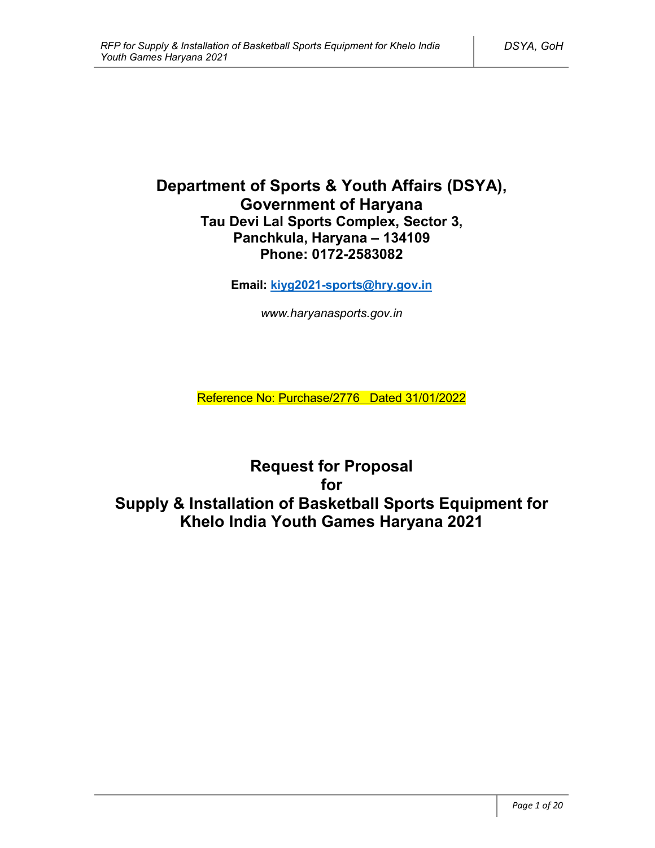# **Department of Sports & Youth Affairs (DSYA), Government of Haryana Tau Devi Lal Sports Complex, Sector 3, Panchkula, Haryana – 134109 Phone: 0172-2583082**

**Email: kiyg2021-sports@hry.gov.in**

*www.haryanasports.gov.in*

Reference No: Purchase/2776 Dated 31/01/2022

**Request for Proposal for Supply & Installation of Basketball Sports Equipment for Khelo India Youth Games Haryana 2021**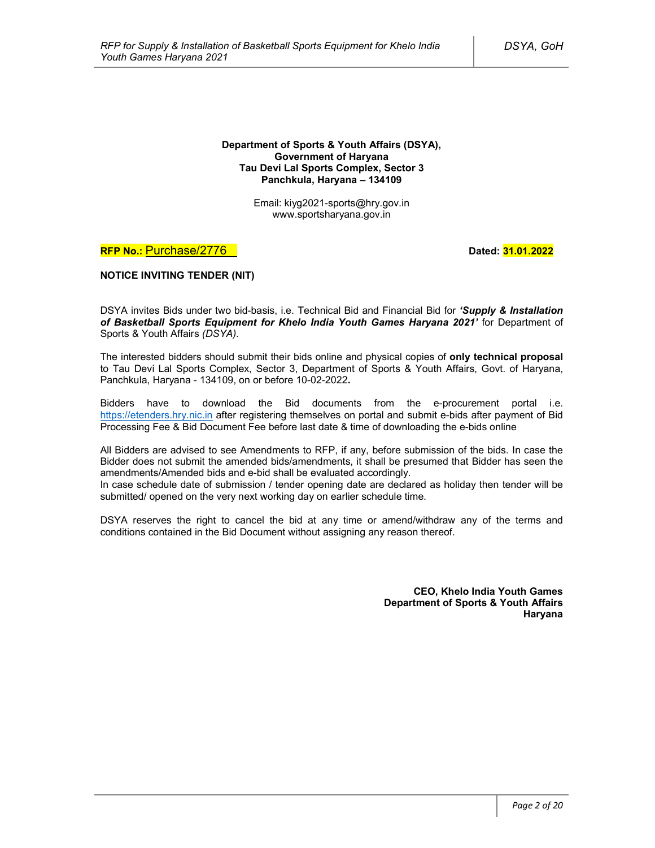#### **Department of Sports & Youth Affairs (DSYA), Government of Haryana Tau Devi Lal Sports Complex, Sector 3 Panchkula, Haryana – 134109**

Email: kiyg2021-sports@hry.gov.in www.sportsharyana.gov.in

# **RFP No.: Purchase/2776 Dated: 31.01.2022**

### **NOTICE INVITING TENDER (NIT)**

DSYA invites Bids under two bid-basis, i.e. Technical Bid and Financial Bid for *'Supply & Installation of Basketball Sports Equipment for Khelo India Youth Games Haryana 2021'* for Department of Sports & Youth Affairs *(DSYA)*.

The interested bidders should submit their bids online and physical copies of **only technical proposal** to Tau Devi Lal Sports Complex, Sector 3, Department of Sports & Youth Affairs, Govt. of Haryana, Panchkula, Haryana - 134109, on or before 10-02-2022**.**

Bidders have to download the Bid documents from the e-procurement portal i.e. https://etenders.hry.nic.in after registering themselves on portal and submit e-bids after payment of Bid Processing Fee & Bid Document Fee before last date & time of downloading the e-bids online

All Bidders are advised to see Amendments to RFP, if any, before submission of the bids. In case the Bidder does not submit the amended bids/amendments, it shall be presumed that Bidder has seen the amendments/Amended bids and e-bid shall be evaluated accordingly.

In case schedule date of submission / tender opening date are declared as holiday then tender will be submitted/ opened on the very next working day on earlier schedule time.

DSYA reserves the right to cancel the bid at any time or amend/withdraw any of the terms and conditions contained in the Bid Document without assigning any reason thereof.

> **CEO, Khelo India Youth Games Department of Sports & Youth Affairs Haryana**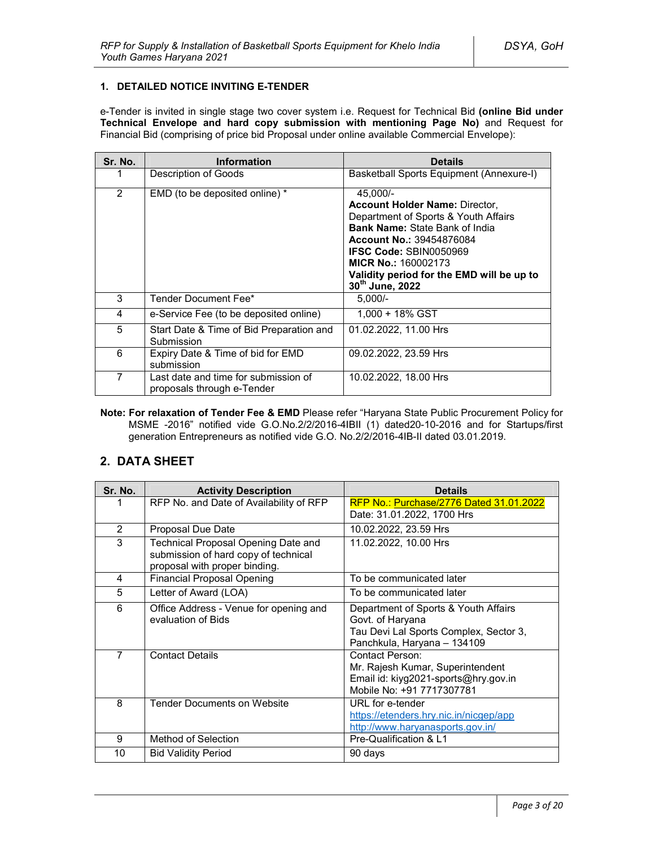### **1. DETAILED NOTICE INVITING E-TENDER**

e-Tender is invited in single stage two cover system i.e. Request for Technical Bid **(online Bid under Technical Envelope and hard copy submission with mentioning Page No)** and Request for Financial Bid (comprising of price bid Proposal under online available Commercial Envelope):

| Sr. No. | <b>Information</b>                                                 | <b>Details</b>                                                                                                                                                                                                                                                                                       |
|---------|--------------------------------------------------------------------|------------------------------------------------------------------------------------------------------------------------------------------------------------------------------------------------------------------------------------------------------------------------------------------------------|
|         | Description of Goods                                               | Basketball Sports Equipment (Annexure-I)                                                                                                                                                                                                                                                             |
| 2       | EMD (to be deposited online) *                                     | 45.000/-<br><b>Account Holder Name: Director,</b><br>Department of Sports & Youth Affairs<br><b>Bank Name: State Bank of India</b><br><b>Account No.: 39454876084</b><br><b>IFSC Code: SBIN0050969</b><br><b>MICR No.: 160002173</b><br>Validity period for the EMD will be up to<br>30th June, 2022 |
| 3       | Tender Document Fee*                                               | $5,000/-$                                                                                                                                                                                                                                                                                            |
| 4       | e-Service Fee (to be deposited online)                             | $1.000 + 18\%$ GST                                                                                                                                                                                                                                                                                   |
| 5       | Start Date & Time of Bid Preparation and<br>Submission             | 01.02.2022, 11.00 Hrs                                                                                                                                                                                                                                                                                |
| 6       | Expiry Date & Time of bid for EMD<br>submission                    | 09.02.2022, 23.59 Hrs                                                                                                                                                                                                                                                                                |
| 7       | Last date and time for submission of<br>proposals through e-Tender | 10.02.2022, 18.00 Hrs                                                                                                                                                                                                                                                                                |

**Note: For relaxation of Tender Fee & EMD** Please refer "Haryana State Public Procurement Policy for MSME -2016" notified vide G.O.No.2/2/2016-4IBII (1) dated20-10-2016 and for Startups/first generation Entrepreneurs as notified vide G.O. No.2/2/2016-4IB-II dated 03.01.2019.

# **2. DATA SHEET**

| Sr. No.        | <b>Activity Description</b>                                                                                  | <b>Details</b>                                                                                                                    |  |
|----------------|--------------------------------------------------------------------------------------------------------------|-----------------------------------------------------------------------------------------------------------------------------------|--|
|                | RFP No. and Date of Availability of RFP                                                                      | <b>RFP No.: Purchase/2776 Dated 31.01.2022</b>                                                                                    |  |
|                |                                                                                                              | Date: 31.01.2022, 1700 Hrs                                                                                                        |  |
| $\overline{2}$ | Proposal Due Date                                                                                            | 10.02.2022, 23.59 Hrs                                                                                                             |  |
| 3              | Technical Proposal Opening Date and<br>submission of hard copy of technical<br>proposal with proper binding. | 11.02.2022, 10.00 Hrs                                                                                                             |  |
| 4              | <b>Financial Proposal Opening</b>                                                                            | To be communicated later                                                                                                          |  |
| 5              | Letter of Award (LOA)                                                                                        | To be communicated later                                                                                                          |  |
| 6              | Office Address - Venue for opening and<br>evaluation of Bids                                                 | Department of Sports & Youth Affairs<br>Govt. of Haryana<br>Tau Devi Lal Sports Complex, Sector 3,<br>Panchkula, Haryana - 134109 |  |
| $\overline{7}$ | <b>Contact Details</b>                                                                                       | Contact Person:<br>Mr. Rajesh Kumar, Superintendent<br>Email id: kiyg2021-sports@hry.gov.in<br>Mobile No: +91 7717307781          |  |
| 8              | <b>Tender Documents on Website</b>                                                                           | URL for e-tender<br>https://etenders.hry.nic.in/nicgep/app<br>http://www.haryanasports.gov.in/                                    |  |
| 9              | Method of Selection                                                                                          | Pre-Qualification & L1                                                                                                            |  |
| 10             | <b>Bid Validity Period</b>                                                                                   | 90 days                                                                                                                           |  |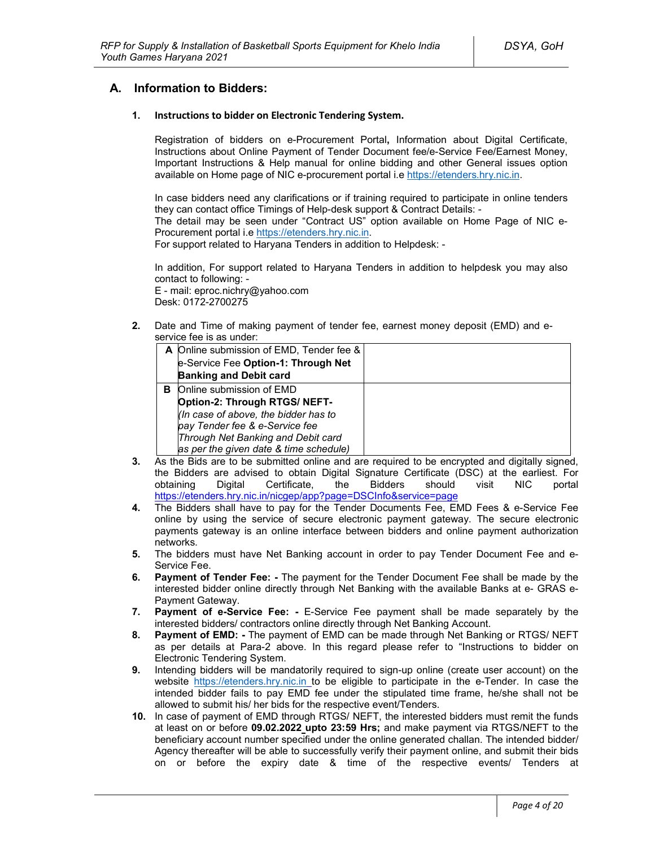# **A. Information to Bidders:**

#### **1. Instructions to bidder on Electronic Tendering System.**

Registration of bidders on e-Procurement Portal**,** Information about Digital Certificate, Instructions about Online Payment of Tender Document fee/e-Service Fee/Earnest Money, Important Instructions & Help manual for online bidding and other General issues option available on Home page of NIC e-procurement portal i.e https://etenders.hry.nic.in.

In case bidders need any clarifications or if training required to participate in online tenders they can contact office Timings of Help-desk support & Contract Details: -

The detail may be seen under "Contract US" option available on Home Page of NIC e-Procurement portal i.e https://etenders.hry.nic.in.

For support related to Haryana Tenders in addition to Helpdesk: -

In addition, For support related to Haryana Tenders in addition to helpdesk you may also contact to following: -

E - mail: eproc.nichry@yahoo.com Desk: 0172-2700275

**2.** Date and Time of making payment of tender fee, earnest money deposit (EMD) and eservice fee is as under:

|   | A Online submission of EMD, Tender fee & |  |
|---|------------------------------------------|--|
|   | e-Service Fee Option-1: Through Net      |  |
|   | <b>Banking and Debit card</b>            |  |
| в | Online submission of EMD                 |  |
|   | Option-2: Through RTGS/ NEFT-            |  |
|   | (In case of above, the bidder has to     |  |
|   | pay Tender fee & e-Service fee           |  |
|   | Through Net Banking and Debit card       |  |
|   | as per the given date & time schedule)   |  |

- **3.** As the Bids are to be submitted online and are required to be encrypted and digitally signed, the Bidders are advised to obtain Digital Signature Certificate (DSC) at the earliest. For obtaining Digital Certificate, the Bidders should visit NIC portal https://etenders.hry.nic.in/nicgep/app?page=DSCInfo&service=page
- **4.** The Bidders shall have to pay for the Tender Documents Fee, EMD Fees & e-Service Fee online by using the service of secure electronic payment gateway. The secure electronic payments gateway is an online interface between bidders and online payment authorization networks.
- **5.** The bidders must have Net Banking account in order to pay Tender Document Fee and e-Service Fee.
- **6. Payment of Tender Fee: -** The payment for the Tender Document Fee shall be made by the interested bidder online directly through Net Banking with the available Banks at e- GRAS e-Payment Gateway.
- **7. Payment of e-Service Fee: -** E-Service Fee payment shall be made separately by the interested bidders/ contractors online directly through Net Banking Account.
- **8. Payment of EMD: -** The payment of EMD can be made through Net Banking or RTGS/ NEFT as per details at Para-2 above. In this regard please refer to "Instructions to bidder on Electronic Tendering System.
- **9.** Intending bidders will be mandatorily required to sign-up online (create user account) on the website https://etenders.hry.nic.in to be eligible to participate in the e-Tender. In case the intended bidder fails to pay EMD fee under the stipulated time frame, he/she shall not be allowed to submit his/ her bids for the respective event/Tenders.
- **10.** In case of payment of EMD through RTGS/ NEFT, the interested bidders must remit the funds at least on or before **09.02.2022 upto 23:59 Hrs;** and make payment via RTGS/NEFT to the beneficiary account number specified under the online generated challan. The intended bidder/ Agency thereafter will be able to successfully verify their payment online, and submit their bids on or before the expiry date & time of the respective events/ Tenders at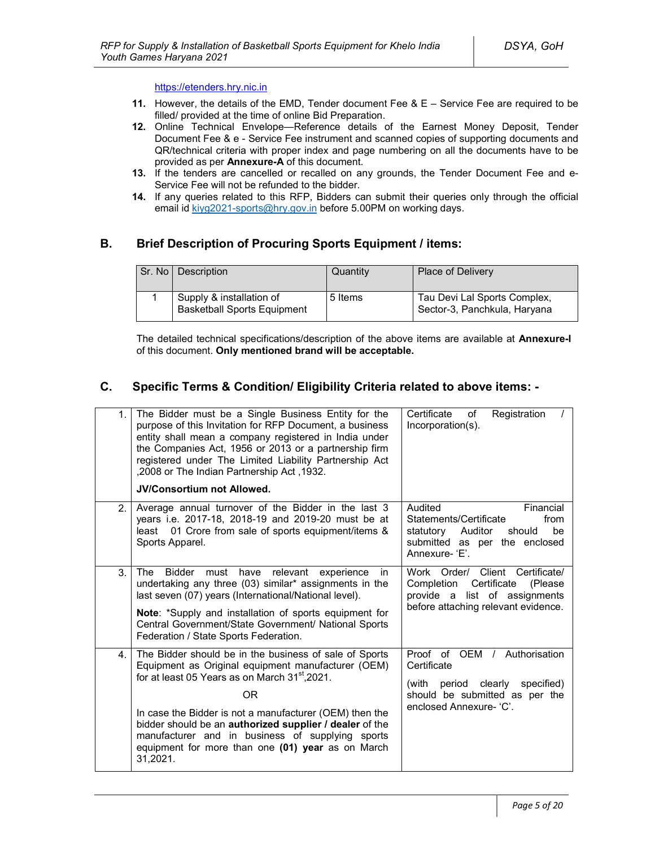#### https://etenders.hry.nic.in

- **11.** However, the details of the EMD, Tender document Fee & E Service Fee are required to be filled/ provided at the time of online Bid Preparation.
- **12.** Online Technical Envelope—Reference details of the Earnest Money Deposit, Tender Document Fee & e - Service Fee instrument and scanned copies of supporting documents and QR/technical criteria with proper index and page numbering on all the documents have to be provided as per **Annexure-A** of this document.
- **13.** If the tenders are cancelled or recalled on any grounds, the Tender Document Fee and e-Service Fee will not be refunded to the bidder.
- **14.** If any queries related to this RFP, Bidders can submit their queries only through the official email id kiyg2021-sports@hry.gov.in before 5.00PM on working days.

# **B. Brief Description of Procuring Sports Equipment / items:**

| Sr. No   Description                                           | Quantity | Place of Delivery                                            |
|----------------------------------------------------------------|----------|--------------------------------------------------------------|
| Supply & installation of<br><b>Basketball Sports Equipment</b> | 5 Items  | Tau Devi Lal Sports Complex,<br>Sector-3, Panchkula, Haryana |

The detailed technical specifications/description of the above items are available at **Annexure-I** of this document. **Only mentioned brand will be acceptable.** 

# **C. Specific Terms & Condition/ Eligibility Criteria related to above items: -**

| 1 <sub>1</sub> | The Bidder must be a Single Business Entity for the<br>purpose of this Invitation for RFP Document, a business<br>entity shall mean a company registered in India under<br>the Companies Act, 1956 or 2013 or a partnership firm<br>registered under The Limited Liability Partnership Act<br>,2008 or The Indian Partnership Act, 1932.                                                                                    | Registration<br>Certificate<br>of<br>Incorporation(s).                                                                                            |
|----------------|-----------------------------------------------------------------------------------------------------------------------------------------------------------------------------------------------------------------------------------------------------------------------------------------------------------------------------------------------------------------------------------------------------------------------------|---------------------------------------------------------------------------------------------------------------------------------------------------|
|                | <b>JV/Consortium not Allowed.</b>                                                                                                                                                                                                                                                                                                                                                                                           |                                                                                                                                                   |
| 2.             | Average annual turnover of the Bidder in the last 3<br>years i.e. 2017-18, 2018-19 and 2019-20 must be at<br>least 01 Crore from sale of sports equipment/items &<br>Sports Apparel.                                                                                                                                                                                                                                        | Audited<br>Financial<br>Statements/Certificate<br>from<br>statutory<br>Auditor<br>should<br>be<br>submitted as per the enclosed<br>Annexure- 'F'  |
| 3.             | relevant<br>The<br>Bidder must<br>have<br>experience<br>in<br>undertaking any three (03) similar* assignments in the<br>last seven (07) years (International/National level).<br>Note: *Supply and installation of sports equipment for<br>Central Government/State Government/ National Sports<br>Federation / State Sports Federation.                                                                                    | Work Order/ Client Certificate/<br>Certificate<br>Completion<br>(Please)<br>provide a list of assignments<br>before attaching relevant evidence.  |
| 4.             | The Bidder should be in the business of sale of Sports<br>Equipment as Original equipment manufacturer (OEM)<br>for at least 05 Years as on March 31 <sup>st</sup> , 2021.<br>OR<br>In case the Bidder is not a manufacturer (OEM) then the<br>bidder should be an authorized supplier / dealer of the<br>manufacturer and in business of supplying sports<br>equipment for more than one (01) year as on March<br>31,2021. | Proof of OEM / Authorisation<br>Certificate<br>period clearly<br>(with<br>specified)<br>should be submitted as per the<br>enclosed Annexure- 'C'. |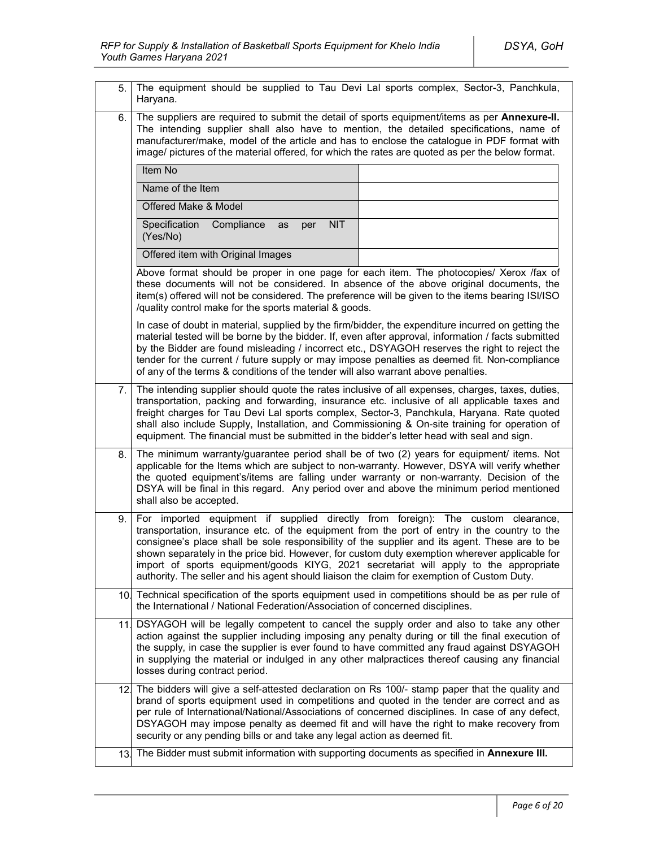| 5.  | The equipment should be supplied to Tau Devi Lal sports complex, Sector-3, Panchkula,<br>Haryana.                                                                                                                                                                                                                                                                                                                                                                                                                                                                            |  |  |
|-----|------------------------------------------------------------------------------------------------------------------------------------------------------------------------------------------------------------------------------------------------------------------------------------------------------------------------------------------------------------------------------------------------------------------------------------------------------------------------------------------------------------------------------------------------------------------------------|--|--|
| 6.  | The suppliers are required to submit the detail of sports equipment/items as per Annexure-II.<br>The intending supplier shall also have to mention, the detailed specifications, name of<br>manufacturer/make, model of the article and has to enclose the catalogue in PDF format with<br>image/ pictures of the material offered, for which the rates are quoted as per the below format.                                                                                                                                                                                  |  |  |
|     | Item No                                                                                                                                                                                                                                                                                                                                                                                                                                                                                                                                                                      |  |  |
|     | Name of the Item                                                                                                                                                                                                                                                                                                                                                                                                                                                                                                                                                             |  |  |
|     | Offered Make & Model                                                                                                                                                                                                                                                                                                                                                                                                                                                                                                                                                         |  |  |
|     | <b>NIT</b><br>Specification<br>Compliance<br>as<br>per<br>(Yes/No)                                                                                                                                                                                                                                                                                                                                                                                                                                                                                                           |  |  |
|     | Offered item with Original Images                                                                                                                                                                                                                                                                                                                                                                                                                                                                                                                                            |  |  |
|     | Above format should be proper in one page for each item. The photocopies/ Xerox /fax of<br>these documents will not be considered. In absence of the above original documents, the<br>item(s) offered will not be considered. The preference will be given to the items bearing ISI/ISO<br>/quality control make for the sports material & goods.                                                                                                                                                                                                                            |  |  |
|     | In case of doubt in material, supplied by the firm/bidder, the expenditure incurred on getting the<br>material tested will be borne by the bidder. If, even after approval, information / facts submitted<br>by the Bidder are found misleading / incorrect etc., DSYAGOH reserves the right to reject the<br>tender for the current / future supply or may impose penalties as deemed fit. Non-compliance<br>of any of the terms & conditions of the tender will also warrant above penalties.                                                                              |  |  |
| 7.  | The intending supplier should quote the rates inclusive of all expenses, charges, taxes, duties,<br>transportation, packing and forwarding, insurance etc. inclusive of all applicable taxes and<br>freight charges for Tau Devi Lal sports complex, Sector-3, Panchkula, Haryana. Rate quoted<br>shall also include Supply, Installation, and Commissioning & On-site training for operation of<br>equipment. The financial must be submitted in the bidder's letter head with seal and sign.                                                                               |  |  |
| 8.  | The minimum warranty/guarantee period shall be of two (2) years for equipment/ items. Not<br>applicable for the Items which are subject to non-warranty. However, DSYA will verify whether<br>the quoted equipment's/items are falling under warranty or non-warranty. Decision of the<br>DSYA will be final in this regard. Any period over and above the minimum period mentioned<br>shall also be accepted.                                                                                                                                                               |  |  |
| 9.  | equipment if supplied directly from foreign): The custom clearance,<br>For imported<br>transportation, insurance etc. of the equipment from the port of entry in the country to the<br>consignee's place shall be sole responsibility of the supplier and its agent. These are to be<br>shown separately in the price bid. However, for custom duty exemption wherever applicable for<br>import of sports equipment/goods KIYG, 2021 secretariat will apply to the appropriate<br>authority. The seller and his agent should liaison the claim for exemption of Custom Duty. |  |  |
|     | 10. Technical specification of the sports equipment used in competitions should be as per rule of<br>the International / National Federation/Association of concerned disciplines.                                                                                                                                                                                                                                                                                                                                                                                           |  |  |
| 11. | DSYAGOH will be legally competent to cancel the supply order and also to take any other<br>action against the supplier including imposing any penalty during or till the final execution of<br>the supply, in case the supplier is ever found to have committed any fraud against DSYAGOH<br>in supplying the material or indulged in any other malpractices thereof causing any financial<br>losses during contract period.                                                                                                                                                 |  |  |
|     | 12. The bidders will give a self-attested declaration on Rs 100/- stamp paper that the quality and<br>brand of sports equipment used in competitions and quoted in the tender are correct and as<br>per rule of International/National/Associations of concerned disciplines. In case of any defect,<br>DSYAGOH may impose penalty as deemed fit and will have the right to make recovery from<br>security or any pending bills or and take any legal action as deemed fit.                                                                                                  |  |  |
| 13. | The Bidder must submit information with supporting documents as specified in Annexure III.                                                                                                                                                                                                                                                                                                                                                                                                                                                                                   |  |  |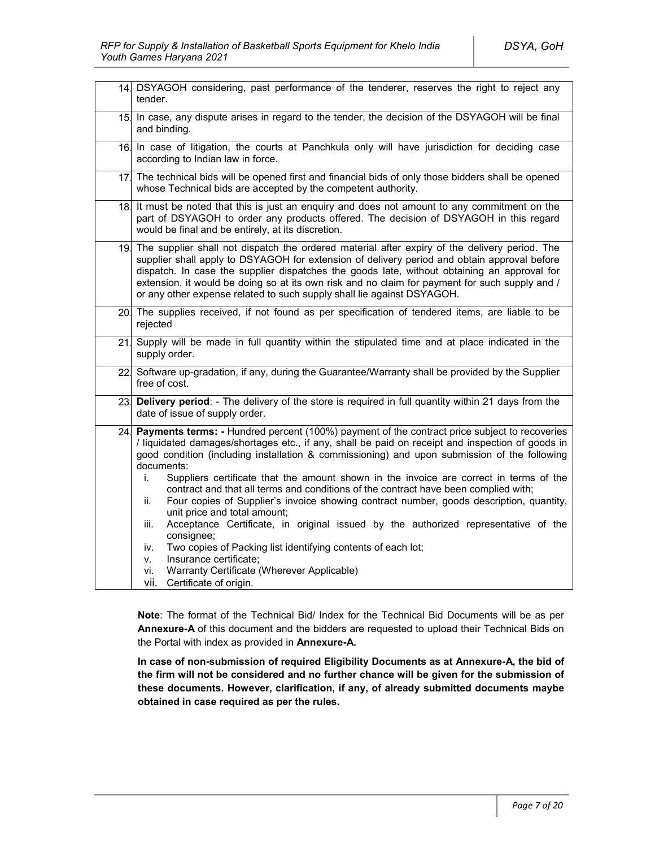|     | 14. DSYAGOH considering, past performance of the tenderer, reserves the right to reject any<br>tender.                                                                                                                                                                                                                                                                                                                                                                                                                                                                                                                                                                                                                                                                                                                                                                                                                                            |  |
|-----|---------------------------------------------------------------------------------------------------------------------------------------------------------------------------------------------------------------------------------------------------------------------------------------------------------------------------------------------------------------------------------------------------------------------------------------------------------------------------------------------------------------------------------------------------------------------------------------------------------------------------------------------------------------------------------------------------------------------------------------------------------------------------------------------------------------------------------------------------------------------------------------------------------------------------------------------------|--|
|     | 15 In case, any dispute arises in regard to the tender, the decision of the DSYAGOH will be final<br>and binding.                                                                                                                                                                                                                                                                                                                                                                                                                                                                                                                                                                                                                                                                                                                                                                                                                                 |  |
|     | 16. In case of litigation, the courts at Panchkula only will have jurisdiction for deciding case<br>according to Indian law in force.                                                                                                                                                                                                                                                                                                                                                                                                                                                                                                                                                                                                                                                                                                                                                                                                             |  |
|     | 17 The technical bids will be opened first and financial bids of only those bidders shall be opened<br>whose Technical bids are accepted by the competent authority.                                                                                                                                                                                                                                                                                                                                                                                                                                                                                                                                                                                                                                                                                                                                                                              |  |
| 18. | It must be noted that this is just an enquiry and does not amount to any commitment on the<br>part of DSYAGOH to order any products offered. The decision of DSYAGOH in this regard<br>would be final and be entirely, at its discretion.                                                                                                                                                                                                                                                                                                                                                                                                                                                                                                                                                                                                                                                                                                         |  |
|     | 19. The supplier shall not dispatch the ordered material after expiry of the delivery period. The<br>supplier shall apply to DSYAGOH for extension of delivery period and obtain approval before<br>dispatch. In case the supplier dispatches the goods late, without obtaining an approval for<br>extension, it would be doing so at its own risk and no claim for payment for such supply and /<br>or any other expense related to such supply shall lie against DSYAGOH.                                                                                                                                                                                                                                                                                                                                                                                                                                                                       |  |
|     | 20. The supplies received, if not found as per specification of tendered items, are liable to be<br>rejected                                                                                                                                                                                                                                                                                                                                                                                                                                                                                                                                                                                                                                                                                                                                                                                                                                      |  |
| 21  | Supply will be made in full quantity within the stipulated time and at place indicated in the<br>supply order.                                                                                                                                                                                                                                                                                                                                                                                                                                                                                                                                                                                                                                                                                                                                                                                                                                    |  |
|     | 22 Software up-gradation, if any, during the Guarantee/Warranty shall be provided by the Supplier<br>free of cost.                                                                                                                                                                                                                                                                                                                                                                                                                                                                                                                                                                                                                                                                                                                                                                                                                                |  |
| 23. | Delivery period: - The delivery of the store is required in full quantity within 21 days from the<br>date of issue of supply order.                                                                                                                                                                                                                                                                                                                                                                                                                                                                                                                                                                                                                                                                                                                                                                                                               |  |
| 24. | Payments terms: - Hundred percent (100%) payment of the contract price subject to recoveries<br>/ liquidated damages/shortages etc., if any, shall be paid on receipt and inspection of goods in<br>good condition (including installation & commissioning) and upon submission of the following<br>documents:<br>Suppliers certificate that the amount shown in the invoice are correct in terms of the<br>i.<br>contract and that all terms and conditions of the contract have been complied with;<br>ii.<br>Four copies of Supplier's invoice showing contract number, goods description, quantity,<br>unit price and total amount;<br>Acceptance Certificate, in original issued by the authorized representative of the<br>iii.<br>consignee;<br>Two copies of Packing list identifying contents of each lot;<br>iv.<br>Insurance certificate;<br>٧.<br>Warranty Certificate (Wherever Applicable)<br>Vİ.<br>vii.<br>Certificate of origin. |  |

**Note**: The format of the Technical Bid/ Index for the Technical Bid Documents will be as per **Annexure-A** of this document and the bidders are requested to upload their Technical Bids on the Portal with index as provided in **Annexure-A.**

**In case of non-submission of required Eligibility Documents as at Annexure-A, the bid of the firm will not be considered and no further chance will be given for the submission of these documents. However, clarification, if any, of already submitted documents maybe obtained in case required as per the rules.**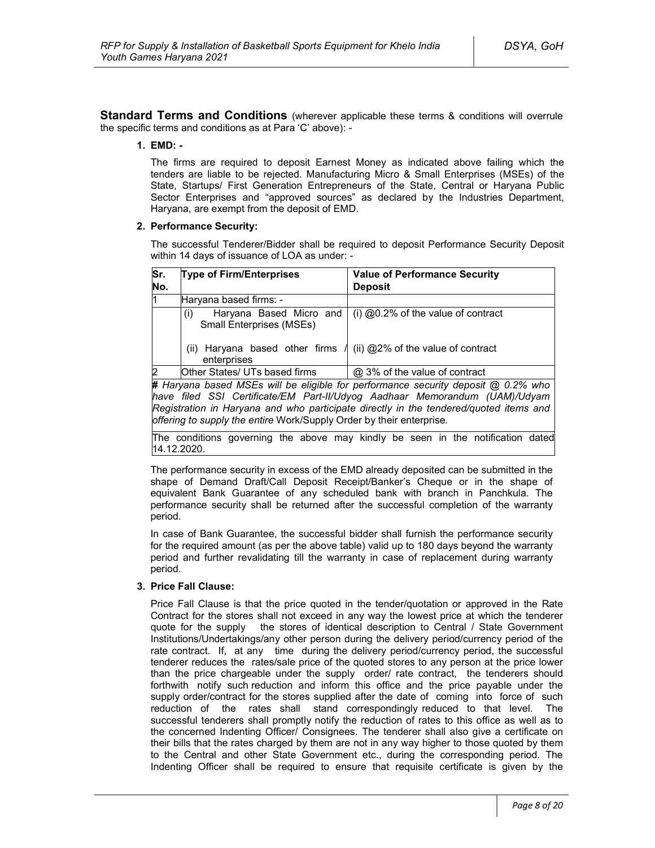**Standard Terms and Conditions** (wherever applicable these terms & conditions will overrule the specific terms and conditions as at Para 'C' above): -

#### **1. EMD: -**

The firms are required to deposit Earnest Money as indicated above failing which the tenders are liable to be rejected. Manufacturing Micro & Small Enterprises (MSEs) of the State, Startups/ First Generation Entrepreneurs of the State, Central or Haryana Public Sector Enterprises and "approved sources" as declared by the Industries Department, Haryana, are exempt from the deposit of EMD.

#### **2. Performance Security:**

The successful Tenderer/Bidder shall be required to deposit Performance Security Deposit within 14 days of issuance of LOA as under: -

| Sr.<br>No.                                                                                                                                                                                                                                                                                                                       | <b>Type of Firm/Enterprises</b>                                   | <b>Value of Performance Security</b><br><b>Deposit</b>                          |
|----------------------------------------------------------------------------------------------------------------------------------------------------------------------------------------------------------------------------------------------------------------------------------------------------------------------------------|-------------------------------------------------------------------|---------------------------------------------------------------------------------|
| ł1.                                                                                                                                                                                                                                                                                                                              | Haryana based firms: -                                            |                                                                                 |
|                                                                                                                                                                                                                                                                                                                                  | Haryana Based Micro and<br>(i)<br><b>Small Enterprises (MSEs)</b> | (i) $@0.2\%$ of the value of contract                                           |
|                                                                                                                                                                                                                                                                                                                                  | Haryana based other firms<br>(ii)<br>enterprises                  | (ii) @2% of the value of contract                                               |
| b.                                                                                                                                                                                                                                                                                                                               | Other States/ UTs based firms                                     | @ 3% of the value of contract                                                   |
| # Haryana based MSEs will be eligible for performance security deposit @ 0.2% who<br>have filed SSI Certificate/EM Part-II/Udyog Aadhaar Memorandum (UAM)/Udyam<br>Registration in Haryana and who participate directly in the tendered/quoted items and<br>offering to supply the entire Work/Supply Order by their enterprise. |                                                                   |                                                                                 |
|                                                                                                                                                                                                                                                                                                                                  |                                                                   | The conditions governing the above may kindly be seen in the notification dated |

The performance security in excess of the EMD already deposited can be submitted in the shape of Demand Draft/Call Deposit Receipt/Banker's Cheque or in the shape of equivalent Bank Guarantee of any scheduled bank with branch in Panchkula. The performance security shall be returned after the successful completion of the warranty period.

In case of Bank Guarantee, the successful bidder shall furnish the performance security for the required amount (as per the above table) valid up to 180 days beyond the warranty period and further revalidating till the warranty in case of replacement during warranty period.

#### **3. Price Fall Clause:**

14.12.2020.

Price Fall Clause is that the price quoted in the tender/quotation or approved in the Rate Contract for the stores shall not exceed in any way the lowest price at which the tenderer quote for the supply the stores of identical description to Central / State Government Institutions/Undertakings/any other person during the delivery period/currency period of the rate contract. If, at any time during the delivery period/currency period, the successful tenderer reduces the rates/sale price of the quoted stores to any person at the price lower than the price chargeable under the supply order/ rate contract, the tenderers should forthwith notify such reduction and inform this office and the price payable under the supply order/contract for the stores supplied after the date of coming into force of such reduction of the rates shall stand correspondingly reduced to that level. The successful tenderers shall promptly notify the reduction of rates to this office as well as to the concerned Indenting Officer/ Consignees. The tenderer shall also give a certificate on their bills that the rates charged by them are not in any way higher to those quoted by them to the Central and other State Government etc., during the corresponding period. The Indenting Officer shall be required to ensure that requisite certificate is given by the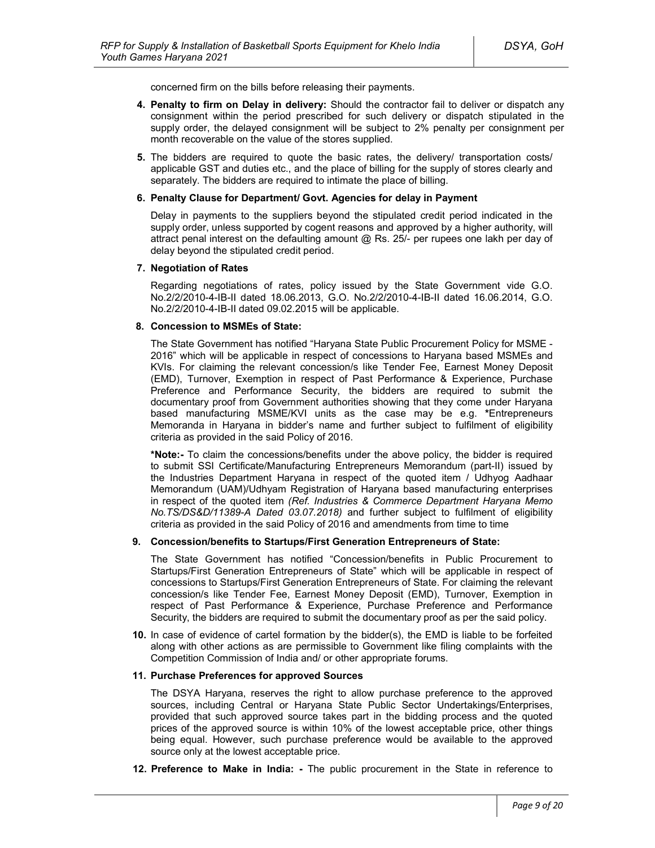concerned firm on the bills before releasing their payments.

- **4. Penalty to firm on Delay in delivery:** Should the contractor fail to deliver or dispatch any consignment within the period prescribed for such delivery or dispatch stipulated in the supply order, the delayed consignment will be subject to 2% penalty per consignment per month recoverable on the value of the stores supplied.
- **5.** The bidders are required to quote the basic rates, the delivery/ transportation costs/ applicable GST and duties etc., and the place of billing for the supply of stores clearly and separately. The bidders are required to intimate the place of billing.

#### **6. Penalty Clause for Department/ Govt. Agencies for delay in Payment**

Delay in payments to the suppliers beyond the stipulated credit period indicated in the supply order, unless supported by cogent reasons and approved by a higher authority, will attract penal interest on the defaulting amount @ Rs. 25/- per rupees one lakh per day of delay beyond the stipulated credit period.

#### **7. Negotiation of Rates**

Regarding negotiations of rates, policy issued by the State Government vide G.O. No.2/2/2010-4-IB-II dated 18.06.2013, G.O. No.2/2/2010-4-IB-II dated 16.06.2014, G.O. No.2/2/2010-4-IB-II dated 09.02.2015 will be applicable.

#### **8. Concession to MSMEs of State:**

The State Government has notified "Haryana State Public Procurement Policy for MSME - 2016" which will be applicable in respect of concessions to Haryana based MSMEs and KVIs. For claiming the relevant concession/s like Tender Fee, Earnest Money Deposit (EMD), Turnover, Exemption in respect of Past Performance & Experience, Purchase Preference and Performance Security, the bidders are required to submit the documentary proof from Government authorities showing that they come under Haryana based manufacturing MSME/KVI units as the case may be e.g. **\***Entrepreneurs Memoranda in Haryana in bidder's name and further subject to fulfilment of eligibility criteria as provided in the said Policy of 2016.

**\*Note:-** To claim the concessions/benefits under the above policy, the bidder is required to submit SSI Certificate/Manufacturing Entrepreneurs Memorandum (part-II) issued by the Industries Department Haryana in respect of the quoted item / Udhyog Aadhaar Memorandum (UAM)/Udhyam Registration of Haryana based manufacturing enterprises in respect of the quoted item *(Ref. Industries & Commerce Department Haryana Memo No.TS/DS&D/11389-A Dated 03.07.2018)* and further subject to fulfilment of eligibility criteria as provided in the said Policy of 2016 and amendments from time to time

#### **9. Concession/benefits to Startups/First Generation Entrepreneurs of State:**

The State Government has notified "Concession/benefits in Public Procurement to Startups/First Generation Entrepreneurs of State" which will be applicable in respect of concessions to Startups/First Generation Entrepreneurs of State. For claiming the relevant concession/s like Tender Fee, Earnest Money Deposit (EMD), Turnover, Exemption in respect of Past Performance & Experience, Purchase Preference and Performance Security, the bidders are required to submit the documentary proof as per the said policy.

**10.** In case of evidence of cartel formation by the bidder(s), the EMD is liable to be forfeited along with other actions as are permissible to Government like filing complaints with the Competition Commission of India and/ or other appropriate forums.

#### **11. Purchase Preferences for approved Sources**

The DSYA Haryana, reserves the right to allow purchase preference to the approved sources, including Central or Haryana State Public Sector Undertakings/Enterprises, provided that such approved source takes part in the bidding process and the quoted prices of the approved source is within 10% of the lowest acceptable price, other things being equal. However, such purchase preference would be available to the approved source only at the lowest acceptable price.

**12. Preference to Make in India: -** The public procurement in the State in reference to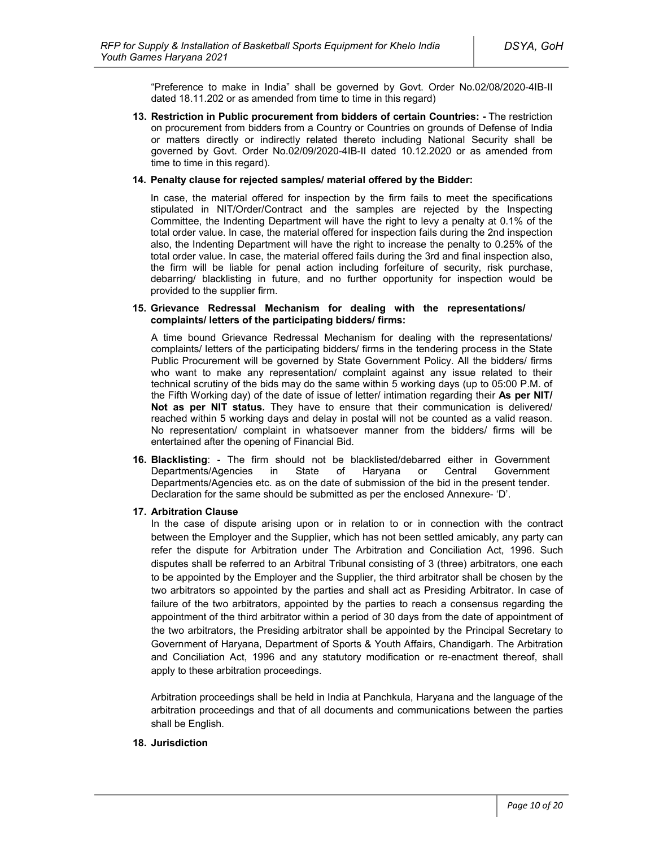"Preference to make in India" shall be governed by Govt. Order No.02/08/2020-4IB-II dated 18.11.202 or as amended from time to time in this regard)

**13. Restriction in Public procurement from bidders of certain Countries: -** The restriction on procurement from bidders from a Country or Countries on grounds of Defense of India or matters directly or indirectly related thereto including National Security shall be governed by Govt. Order No.02/09/2020-4IB-II dated 10.12.2020 or as amended from time to time in this regard).

#### **14. Penalty clause for rejected samples/ material offered by the Bidder:**

In case, the material offered for inspection by the firm fails to meet the specifications stipulated in NIT/Order/Contract and the samples are rejected by the Inspecting Committee, the Indenting Department will have the right to levy a penalty at 0.1% of the total order value. In case, the material offered for inspection fails during the 2nd inspection also, the Indenting Department will have the right to increase the penalty to 0.25% of the total order value. In case, the material offered fails during the 3rd and final inspection also, the firm will be liable for penal action including forfeiture of security, risk purchase, debarring/ blacklisting in future, and no further opportunity for inspection would be provided to the supplier firm.

#### **15. Grievance Redressal Mechanism for dealing with the representations/ complaints/ letters of the participating bidders/ firms:**

A time bound Grievance Redressal Mechanism for dealing with the representations/ complaints/ letters of the participating bidders/ firms in the tendering process in the State Public Procurement will be governed by State Government Policy. All the bidders/ firms who want to make any representation/ complaint against any issue related to their technical scrutiny of the bids may do the same within 5 working days (up to 05:00 P.M. of the Fifth Working day) of the date of issue of letter/ intimation regarding their **As per NIT/ Not as per NIT status.** They have to ensure that their communication is delivered/ reached within 5 working days and delay in postal will not be counted as a valid reason. No representation/ complaint in whatsoever manner from the bidders/ firms will be entertained after the opening of Financial Bid.

**16. Blacklisting**: - The firm should not be blacklisted/debarred either in Government Departments/Agencies in State of Haryana or Central Government Departments/Agencies etc. as on the date of submission of the bid in the present tender. Declaration for the same should be submitted as per the enclosed Annexure- 'D'.

#### **17. Arbitration Clause**

In the case of dispute arising upon or in relation to or in connection with the contract between the Employer and the Supplier, which has not been settled amicably, any party can refer the dispute for Arbitration under The Arbitration and Conciliation Act, 1996. Such disputes shall be referred to an Arbitral Tribunal consisting of 3 (three) arbitrators, one each to be appointed by the Employer and the Supplier, the third arbitrator shall be chosen by the two arbitrators so appointed by the parties and shall act as Presiding Arbitrator. In case of failure of the two arbitrators, appointed by the parties to reach a consensus regarding the appointment of the third arbitrator within a period of 30 days from the date of appointment of the two arbitrators, the Presiding arbitrator shall be appointed by the Principal Secretary to Government of Haryana, Department of Sports & Youth Affairs, Chandigarh. The Arbitration and Conciliation Act, 1996 and any statutory modification or re-enactment thereof, shall apply to these arbitration proceedings.

Arbitration proceedings shall be held in India at Panchkula, Haryana and the language of the arbitration proceedings and that of all documents and communications between the parties shall be English.

#### **18. Jurisdiction**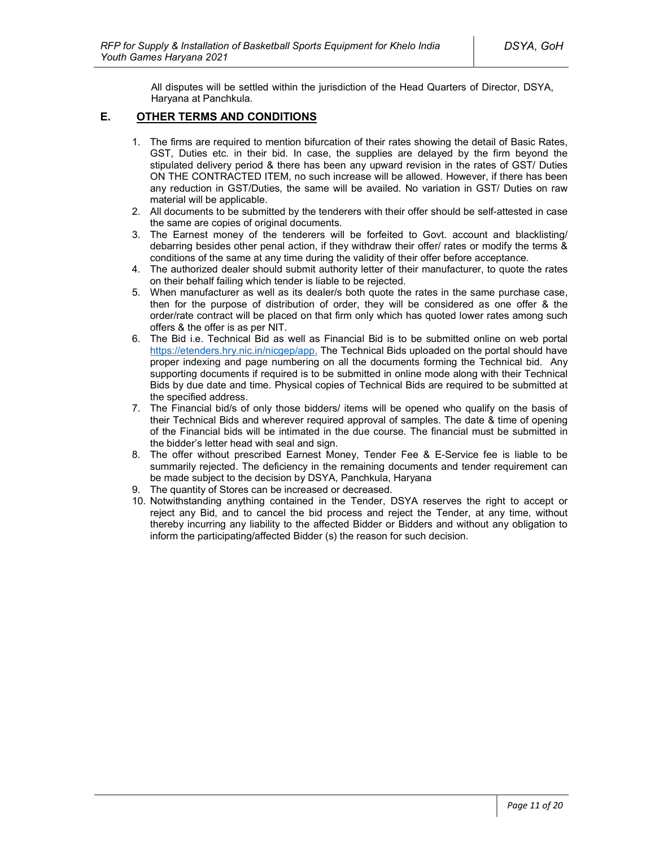All disputes will be settled within the jurisdiction of the Head Quarters of Director, DSYA, Haryana at Panchkula.

# **E. OTHER TERMS AND CONDITIONS**

- 1. The firms are required to mention bifurcation of their rates showing the detail of Basic Rates, GST, Duties etc. in their bid. In case, the supplies are delayed by the firm beyond the stipulated delivery period & there has been any upward revision in the rates of GST/ Duties ON THE CONTRACTED ITEM, no such increase will be allowed. However, if there has been any reduction in GST/Duties, the same will be availed. No variation in GST/ Duties on raw material will be applicable.
- 2. All documents to be submitted by the tenderers with their offer should be self-attested in case the same are copies of original documents.
- 3. The Earnest money of the tenderers will be forfeited to Govt. account and blacklisting/ debarring besides other penal action, if they withdraw their offer/ rates or modify the terms & conditions of the same at any time during the validity of their offer before acceptance.
- 4. The authorized dealer should submit authority letter of their manufacturer, to quote the rates on their behalf failing which tender is liable to be rejected.
- 5. When manufacturer as well as its dealer/s both quote the rates in the same purchase case, then for the purpose of distribution of order, they will be considered as one offer & the order/rate contract will be placed on that firm only which has quoted lower rates among such offers & the offer is as per NIT.
- 6. The Bid i.e. Technical Bid as well as Financial Bid is to be submitted online on web portal https://etenders.hry.nic.in/nicgep/app. The Technical Bids uploaded on the portal should have proper indexing and page numbering on all the documents forming the Technical bid. Any supporting documents if required is to be submitted in online mode along with their Technical Bids by due date and time. Physical copies of Technical Bids are required to be submitted at the specified address.
- 7. The Financial bid/s of only those bidders/ items will be opened who qualify on the basis of their Technical Bids and wherever required approval of samples. The date & time of opening of the Financial bids will be intimated in the due course. The financial must be submitted in the bidder's letter head with seal and sign.
- 8. The offer without prescribed Earnest Money, Tender Fee & E-Service fee is liable to be summarily rejected. The deficiency in the remaining documents and tender requirement can be made subject to the decision by DSYA, Panchkula, Haryana
- 9. The quantity of Stores can be increased or decreased.
- 10. Notwithstanding anything contained in the Tender, DSYA reserves the right to accept or reject any Bid, and to cancel the bid process and reject the Tender, at any time, without thereby incurring any liability to the affected Bidder or Bidders and without any obligation to inform the participating/affected Bidder (s) the reason for such decision.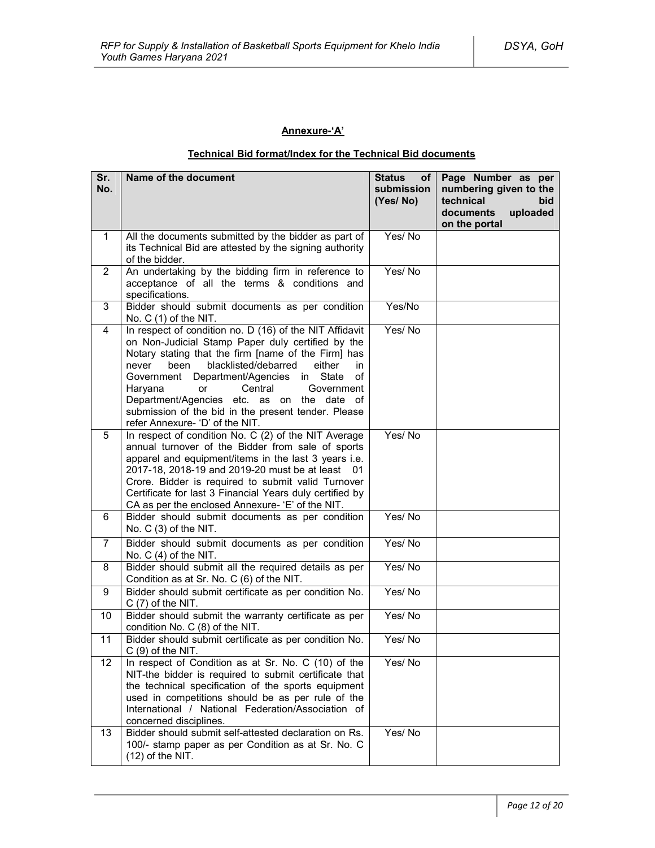# **Annexure-'A'**

# **Technical Bid format/Index for the Technical Bid documents**

| Sr.<br>No.     | Name of the document                                                                                                                                                                                                                                                                                                                                                                                                                                                  | <b>Status</b><br>of l<br>submission<br>(Yes/No) | Page Number as per<br>numbering given to the<br>technical<br>bid<br>uploaded<br>documents<br>on the portal |
|----------------|-----------------------------------------------------------------------------------------------------------------------------------------------------------------------------------------------------------------------------------------------------------------------------------------------------------------------------------------------------------------------------------------------------------------------------------------------------------------------|-------------------------------------------------|------------------------------------------------------------------------------------------------------------|
| $\mathbf{1}$   | All the documents submitted by the bidder as part of<br>its Technical Bid are attested by the signing authority<br>of the bidder.                                                                                                                                                                                                                                                                                                                                     | Yes/No                                          |                                                                                                            |
| $\overline{2}$ | An undertaking by the bidding firm in reference to<br>acceptance of all the terms & conditions and<br>specifications.                                                                                                                                                                                                                                                                                                                                                 | Yes/No                                          |                                                                                                            |
| 3              | Bidder should submit documents as per condition<br>No. C (1) of the NIT.                                                                                                                                                                                                                                                                                                                                                                                              | Yes/No                                          |                                                                                                            |
| 4              | In respect of condition no. D (16) of the NIT Affidavit<br>on Non-Judicial Stamp Paper duly certified by the<br>Notary stating that the firm [name of the Firm] has<br>blacklisted/debarred<br>either<br>never<br>been<br>in<br>in State<br>Government<br>Department/Agencies<br>οf<br>Central<br>Haryana<br>or<br>Government<br>Department/Agencies etc. as on the date of<br>submission of the bid in the present tender. Please<br>refer Annexure- 'D' of the NIT. | Yes/No                                          |                                                                                                            |
| 5              | In respect of condition No. C (2) of the NIT Average<br>annual turnover of the Bidder from sale of sports<br>apparel and equipment/items in the last 3 years i.e.<br>2017-18, 2018-19 and 2019-20 must be at least 01<br>Crore. Bidder is required to submit valid Turnover<br>Certificate for last 3 Financial Years duly certified by<br>CA as per the enclosed Annexure- 'E' of the NIT.                                                                           | Yes/No                                          |                                                                                                            |
| 6              | Bidder should submit documents as per condition<br>No. C (3) of the NIT.                                                                                                                                                                                                                                                                                                                                                                                              | Yes/No                                          |                                                                                                            |
| $\overline{7}$ | Bidder should submit documents as per condition<br>No. $C(4)$ of the NIT.                                                                                                                                                                                                                                                                                                                                                                                             | Yes/No                                          |                                                                                                            |
| 8              | Bidder should submit all the required details as per<br>Condition as at Sr. No. C (6) of the NIT.                                                                                                                                                                                                                                                                                                                                                                     | Yes/No                                          |                                                                                                            |
| 9              | Bidder should submit certificate as per condition No.<br>$C(7)$ of the NIT.                                                                                                                                                                                                                                                                                                                                                                                           | Yes/No                                          |                                                                                                            |
| 10             | Bidder should submit the warranty certificate as per<br>condition No. C (8) of the NIT.                                                                                                                                                                                                                                                                                                                                                                               | Yes/No                                          |                                                                                                            |
| 11             | Bidder should submit certificate as per condition No.<br>$C(9)$ of the NIT.                                                                                                                                                                                                                                                                                                                                                                                           | Yes/No                                          |                                                                                                            |
| 12             | In respect of Condition as at Sr. No. C (10) of the<br>NIT-the bidder is required to submit certificate that<br>the technical specification of the sports equipment<br>used in competitions should be as per rule of the<br>International / National Federation/Association of<br>concerned disciplines.                                                                                                                                                              | Yes/No                                          |                                                                                                            |
| 13             | Bidder should submit self-attested declaration on Rs.<br>100/- stamp paper as per Condition as at Sr. No. C<br>$(12)$ of the NIT.                                                                                                                                                                                                                                                                                                                                     | Yes/No                                          |                                                                                                            |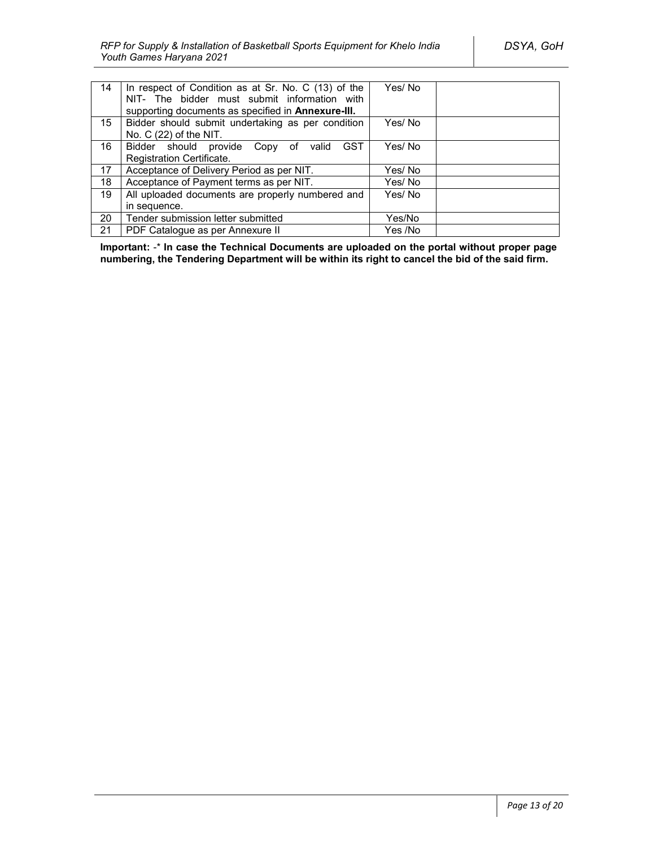| 14               | In respect of Condition as at Sr. No. C (13) of the<br>NIT- The bidder must submit information with<br>supporting documents as specified in <b>Annexure-III.</b> | Yes/No  |  |
|------------------|------------------------------------------------------------------------------------------------------------------------------------------------------------------|---------|--|
| 15 <sup>15</sup> | Bidder should submit undertaking as per condition                                                                                                                | Yes/No  |  |
|                  | No. $C(22)$ of the NIT.                                                                                                                                          |         |  |
| 16               | <b>GST</b><br>Bidder should provide Copy of<br>valid                                                                                                             | Yes/No  |  |
|                  | Registration Certificate.                                                                                                                                        |         |  |
| 17               | Acceptance of Delivery Period as per NIT.                                                                                                                        | Yes/ No |  |
| 18               | Acceptance of Payment terms as per NIT.                                                                                                                          | Yes/ No |  |
| 19               | All uploaded documents are properly numbered and                                                                                                                 | Yes/No  |  |
|                  | in sequence.                                                                                                                                                     |         |  |
| 20               | Tender submission letter submitted                                                                                                                               | Yes/No  |  |
| 21               | PDF Catalogue as per Annexure II                                                                                                                                 | Yes /No |  |

**Important:** -\* **In case the Technical Documents are uploaded on the portal without proper page numbering, the Tendering Department will be within its right to cancel the bid of the said firm.**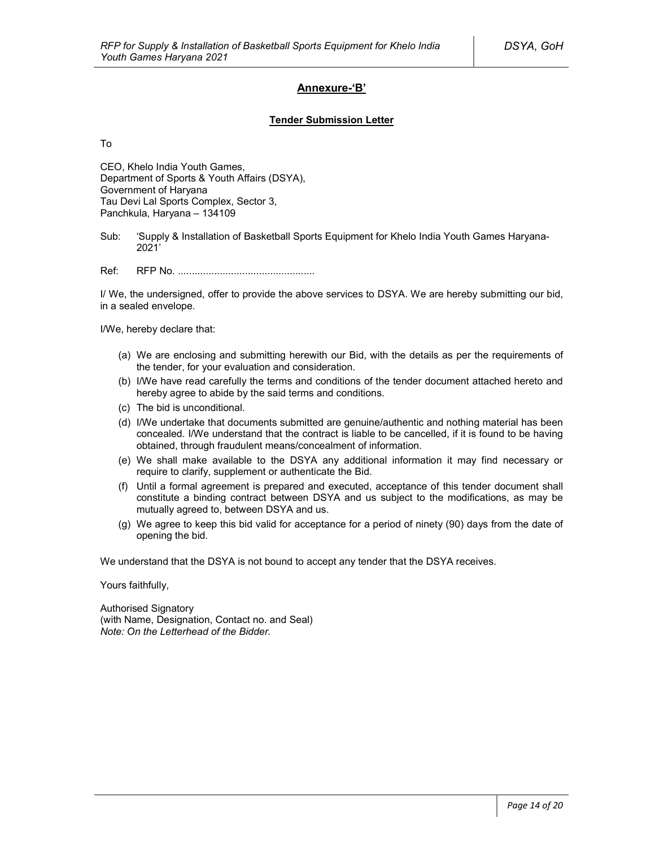# **Annexure-'B'**

#### **Tender Submission Letter**

To

CEO, Khelo India Youth Games, Department of Sports & Youth Affairs (DSYA), Government of Haryana Tau Devi Lal Sports Complex, Sector 3, Panchkula, Haryana – 134109

Sub: 'Supply & Installation of Basketball Sports Equipment for Khelo India Youth Games Haryana-2021'

Ref: RFP No. .................................................

I/ We, the undersigned, offer to provide the above services to DSYA. We are hereby submitting our bid, in a sealed envelope.

I/We, hereby declare that:

- (a) We are enclosing and submitting herewith our Bid, with the details as per the requirements of the tender, for your evaluation and consideration.
- (b) I/We have read carefully the terms and conditions of the tender document attached hereto and hereby agree to abide by the said terms and conditions.
- (c) The bid is unconditional.
- (d) I/We undertake that documents submitted are genuine/authentic and nothing material has been concealed. I/We understand that the contract is liable to be cancelled, if it is found to be having obtained, through fraudulent means/concealment of information.
- (e) We shall make available to the DSYA any additional information it may find necessary or require to clarify, supplement or authenticate the Bid.
- (f) Until a formal agreement is prepared and executed, acceptance of this tender document shall constitute a binding contract between DSYA and us subject to the modifications, as may be mutually agreed to, between DSYA and us.
- (g) We agree to keep this bid valid for acceptance for a period of ninety (90) days from the date of opening the bid.

We understand that the DSYA is not bound to accept any tender that the DSYA receives.

Yours faithfully,

Authorised Signatory (with Name, Designation, Contact no. and Seal) *Note: On the Letterhead of the Bidder.*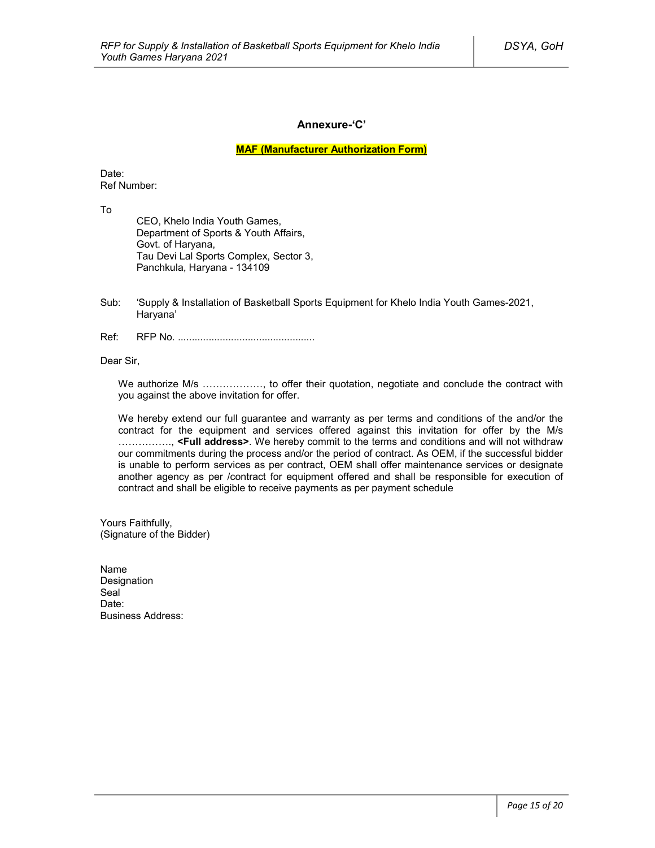### **Annexure-'C'**

**MAF (Manufacturer Authorization Form)**

Date: Ref Number:

To

CEO, Khelo India Youth Games, Department of Sports & Youth Affairs, Govt. of Haryana, Tau Devi Lal Sports Complex, Sector 3, Panchkula, Haryana - 134109

- Sub: 'Supply & Installation of Basketball Sports Equipment for Khelo India Youth Games-2021, Haryana'
- Ref: RFP No. .................................................

Dear Sir,

We authorize M/s ………………, to offer their quotation, negotiate and conclude the contract with you against the above invitation for offer.

We hereby extend our full guarantee and warranty as per terms and conditions of the and/or the contract for the equipment and services offered against this invitation for offer by the M/s ……………., **<Full address>**. We hereby commit to the terms and conditions and will not withdraw our commitments during the process and/or the period of contract. As OEM, if the successful bidder is unable to perform services as per contract, OEM shall offer maintenance services or designate another agency as per /contract for equipment offered and shall be responsible for execution of contract and shall be eligible to receive payments as per payment schedule

Yours Faithfully, (Signature of the Bidder)

Name Designation Seal<sup>1</sup> Date<sup>-</sup> Business Address: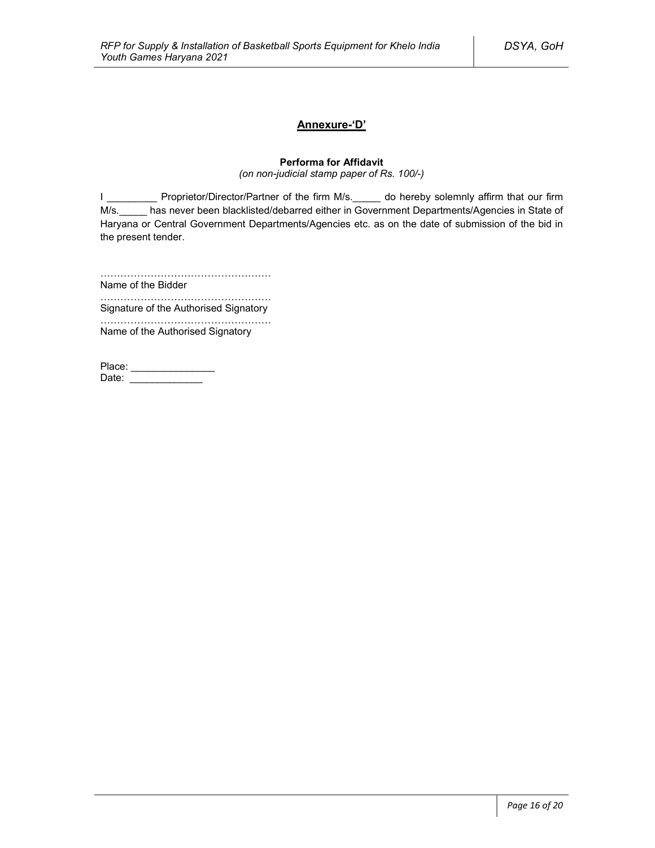# **Annexure-'D'**

# **Performa for Affidavit**

*(on non-judicial stamp paper of Rs. 100/-)*

I \_\_\_\_\_\_\_\_\_\_\_ Proprietor/Director/Partner of the firm M/s.\_\_\_\_\_ do hereby solemnly affirm that our firm M/s.\_\_\_\_\_ has never been blacklisted/debarred either in Government Departments/Agencies in State of Haryana or Central Government Departments/Agencies etc. as on the date of submission of the bid in the present tender.

……………………………………………

Name of the Bidder ……………………………………………

Signature of the Authorised Signatory

…………………………………………… Name of the Authorised Signatory

| Place: |  |
|--------|--|
| Date:  |  |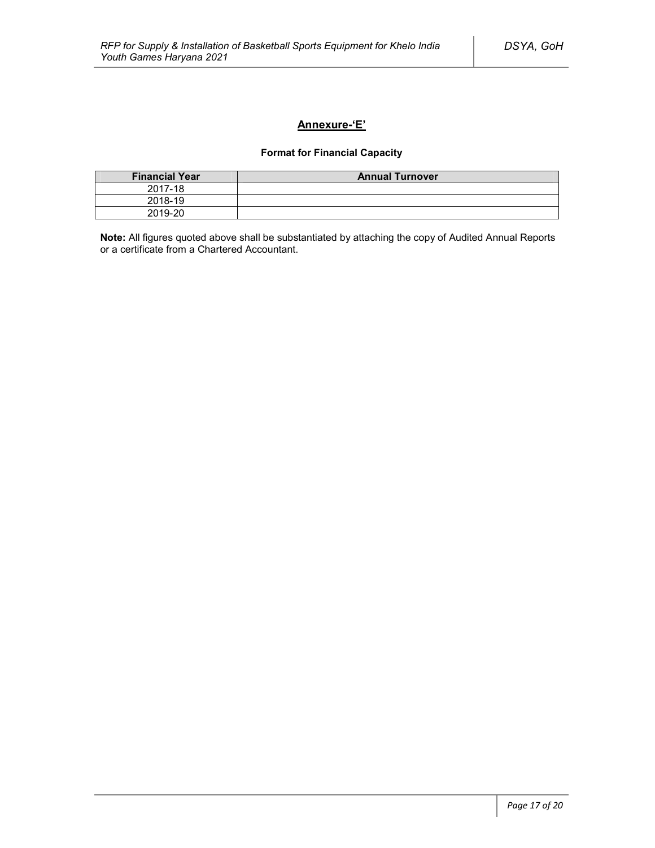# **Annexure-'E'**

# **Format for Financial Capacity**

| <b>Financial Year</b> | <b>Annual Turnover</b> |
|-----------------------|------------------------|
| 2017-18               |                        |
| 2018-19               |                        |
| 2019-20               |                        |

**Note:** All figures quoted above shall be substantiated by attaching the copy of Audited Annual Reports or a certificate from a Chartered Accountant.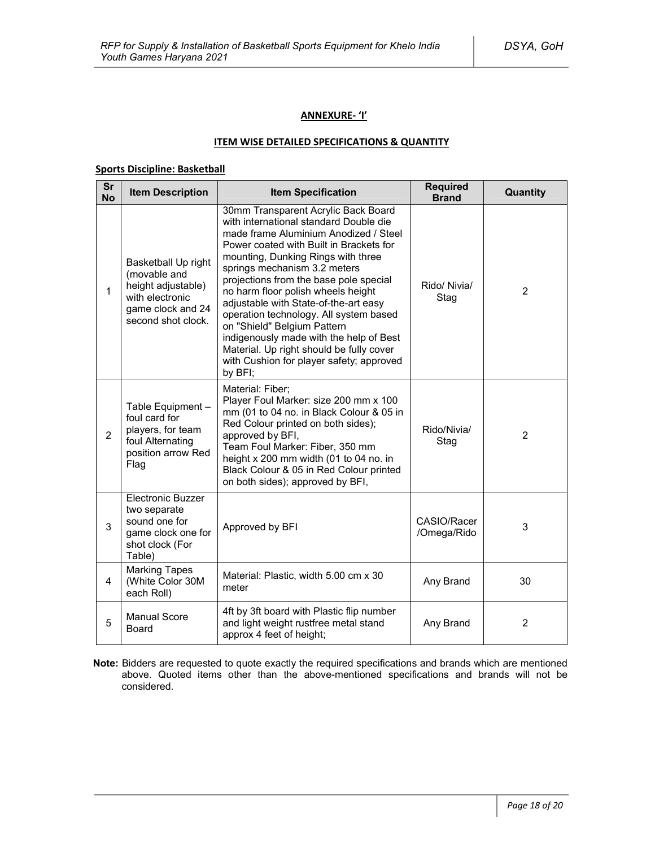### **ANNEXURE- 'I'**

#### **ITEM WISE DETAILED SPECIFICATIONS & QUANTITY**

### **Sports Discipline: Basketball**

| $\overline{\text{Sr}}$<br><b>No</b> | <b>Item Description</b>                                                                                                 | <b>Item Specification</b>                                                                                                                                                                                                                                                                                                                                                                                                                                                                                                                                                               | <b>Required</b><br><b>Brand</b> | Quantity       |
|-------------------------------------|-------------------------------------------------------------------------------------------------------------------------|-----------------------------------------------------------------------------------------------------------------------------------------------------------------------------------------------------------------------------------------------------------------------------------------------------------------------------------------------------------------------------------------------------------------------------------------------------------------------------------------------------------------------------------------------------------------------------------------|---------------------------------|----------------|
| $\mathbf{1}$                        | Basketball Up right<br>(movable and<br>height adjustable)<br>with electronic<br>game clock and 24<br>second shot clock. | 30mm Transparent Acrylic Back Board<br>with international standard Double die<br>made frame Aluminium Anodized / Steel<br>Power coated with Built in Brackets for<br>mounting, Dunking Rings with three<br>springs mechanism 3.2 meters<br>projections from the base pole special<br>no harm floor polish wheels height<br>adjustable with State-of-the-art easy<br>operation technology. All system based<br>on "Shield" Belgium Pattern<br>indigenously made with the help of Best<br>Material. Up right should be fully cover<br>with Cushion for player safety; approved<br>by BFI; | Rido/ Nivia/<br>Stag            | $\overline{2}$ |
| $\overline{2}$                      | Table Equipment -<br>foul card for<br>players, for team<br>foul Alternating<br>position arrow Red<br>Flag               | Material: Fiber;<br>Player Foul Marker: size 200 mm x 100<br>mm (01 to 04 no. in Black Colour & 05 in<br>Red Colour printed on both sides);<br>approved by BFI,<br>Team Foul Marker: Fiber, 350 mm<br>height x 200 mm width (01 to 04 no. in<br>Black Colour & 05 in Red Colour printed<br>on both sides); approved by BFI,                                                                                                                                                                                                                                                             | Rido/Nivia/<br>Stag             | $\overline{2}$ |
| 3                                   | <b>Electronic Buzzer</b><br>two separate<br>sound one for<br>game clock one for<br>shot clock (For<br>Table)            | Approved by BFI                                                                                                                                                                                                                                                                                                                                                                                                                                                                                                                                                                         | CASIO/Racer<br>/Omega/Rido      | 3              |
| 4                                   | <b>Marking Tapes</b><br>(White Color 30M<br>each Roll)                                                                  | Material: Plastic, width 5.00 cm x 30<br>meter                                                                                                                                                                                                                                                                                                                                                                                                                                                                                                                                          | Any Brand                       | 30             |
| 5                                   | <b>Manual Score</b><br>Board                                                                                            | 4ft by 3ft board with Plastic flip number<br>and light weight rustfree metal stand<br>approx 4 feet of height;                                                                                                                                                                                                                                                                                                                                                                                                                                                                          | Any Brand                       | $\overline{2}$ |

**Note:** Bidders are requested to quote exactly the required specifications and brands which are mentioned above. Quoted items other than the above-mentioned specifications and brands will not be considered.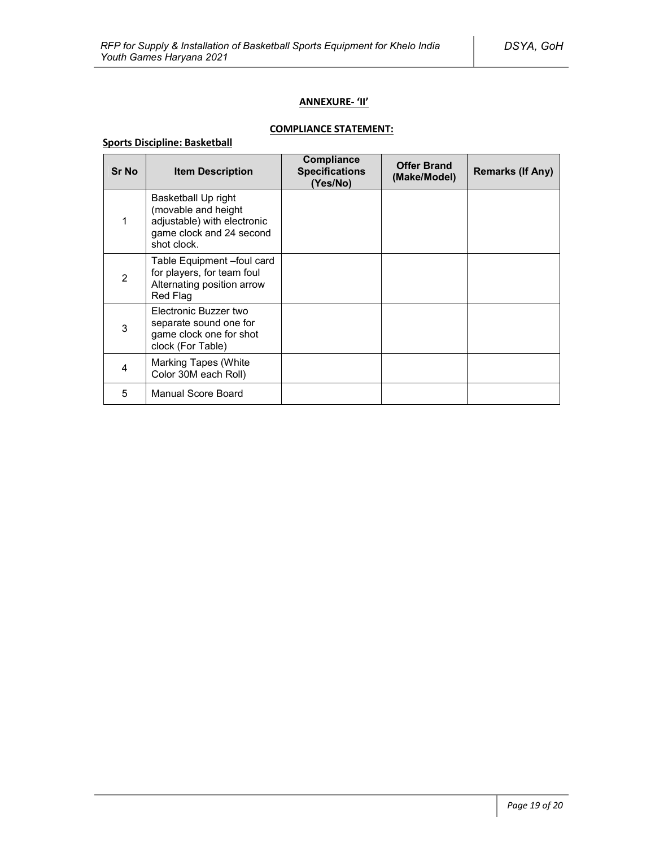# **ANNEXURE- 'II'**

# **COMPLIANCE STATEMENT:**

# **Sports Discipline: Basketball**

| <b>Sr No</b>   | <b>Item Description</b>                                                                                              | <b>Compliance</b><br><b>Specifications</b><br>(Yes/No) | <b>Offer Brand</b><br>(Make/Model) | <b>Remarks (If Any)</b> |
|----------------|----------------------------------------------------------------------------------------------------------------------|--------------------------------------------------------|------------------------------------|-------------------------|
|                | Basketball Up right<br>(movable and height<br>adjustable) with electronic<br>game clock and 24 second<br>shot clock. |                                                        |                                    |                         |
| $\overline{2}$ | Table Equipment -foul card<br>for players, for team foul<br>Alternating position arrow<br>Red Flag                   |                                                        |                                    |                         |
| 3              | Electronic Buzzer two<br>separate sound one for<br>game clock one for shot<br>clock (For Table)                      |                                                        |                                    |                         |
| 4              | Marking Tapes (White<br>Color 30M each Roll)                                                                         |                                                        |                                    |                         |
| 5              | Manual Score Board                                                                                                   |                                                        |                                    |                         |